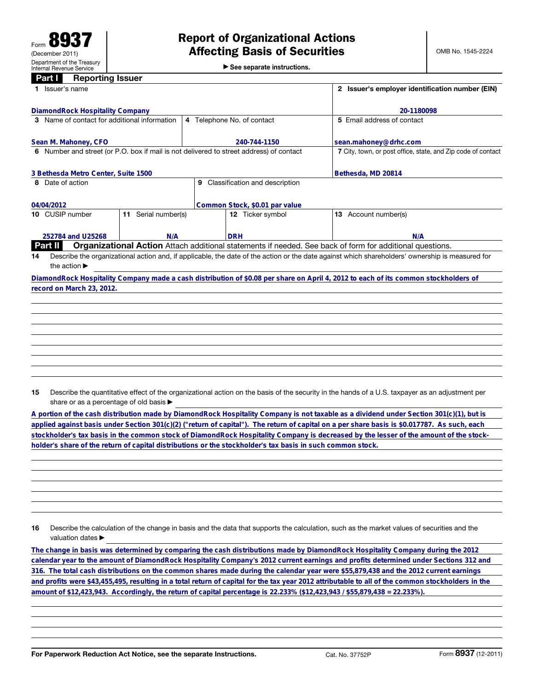|  |  |  |  |  | $\triangleright$ See separate instructions. |  |
|--|--|--|--|--|---------------------------------------------|--|
|--|--|--|--|--|---------------------------------------------|--|

| <b>Part I</b>                                                                           | <b>Reporting Issuer</b> |                         |                            |                                |                                                                                                                                                 |
|-----------------------------------------------------------------------------------------|-------------------------|-------------------------|----------------------------|--------------------------------|-------------------------------------------------------------------------------------------------------------------------------------------------|
|                                                                                         | Issuer's name           |                         |                            |                                | 2 Issuer's employer identification number (EIN)                                                                                                 |
| DiamondRock Hospitality Company                                                         |                         |                         |                            |                                | 20-1180098                                                                                                                                      |
| Name of contact for additional information<br>3                                         |                         |                         | 4 Telephone No. of contact | 5 Email address of contact     |                                                                                                                                                 |
| Sean M. Mahoney, CFO                                                                    |                         |                         |                            | 240-744-1150                   | sean.mahoney@drhc.com                                                                                                                           |
| 6 Number and street (or P.O. box if mail is not delivered to street address) of contact |                         |                         |                            |                                | 7 City, town, or post office, state, and Zip code of contact                                                                                    |
| 3 Bethesda Metro Center, Suite 1500                                                     |                         |                         |                            | Bethesda, MD 20814             |                                                                                                                                                 |
| Date of action<br>8                                                                     |                         |                         | 9                          | Classification and description |                                                                                                                                                 |
| 04/04/2012                                                                              |                         |                         |                            | Common Stock, \$0.01 par value |                                                                                                                                                 |
| 10 CUSIP number                                                                         |                         | Serial number(s)<br>11. |                            | 12 Ticker symbol               | 13 Account number(s)                                                                                                                            |
| 252784 and U25268                                                                       |                         | N/A                     |                            | <b>DRH</b>                     | N/A                                                                                                                                             |
| Part II                                                                                 |                         |                         |                            |                                | <b>Organizational Action</b> Attach additional statements if needed. See back of form for additional questions.                                 |
| 14                                                                                      |                         |                         |                            |                                | Describe the organizational action and, if applicable, the date of the action or the date against which shareholders' ownership is measured for |
| the action $\blacktriangleright$                                                        |                         |                         |                            |                                |                                                                                                                                                 |
|                                                                                         |                         |                         |                            |                                | DiamondRock Hospitality Company made a cash distribution of \$0.08 per share on April 4, 2012 to each of its common stockholders of             |
| record on March 23, 2012.                                                               |                         |                         |                            |                                |                                                                                                                                                 |
|                                                                                         |                         |                         |                            |                                |                                                                                                                                                 |
|                                                                                         |                         |                         |                            |                                |                                                                                                                                                 |
|                                                                                         |                         |                         |                            |                                |                                                                                                                                                 |

**A portion of the cash distribution made by DiamondRock Hospitality Company is not taxable as a dividend under Section 301(c)(1), but is applied against basis under Section 301(c)(2) ("return of capital"). The return of capital on a per share basis is \$0.017787. As such, each stockholder's tax basis in the common stock of DiamondRock Hospitality Company is decreased by the lesser of the amount of the stockholder's share of the return of capital distributions or the stockholder's tax basis in such common stock.**

**16** Describe the calculation of the change in basis and the data that supports the calculation, such as the market values of securities and the valuation dates  $\blacktriangleright$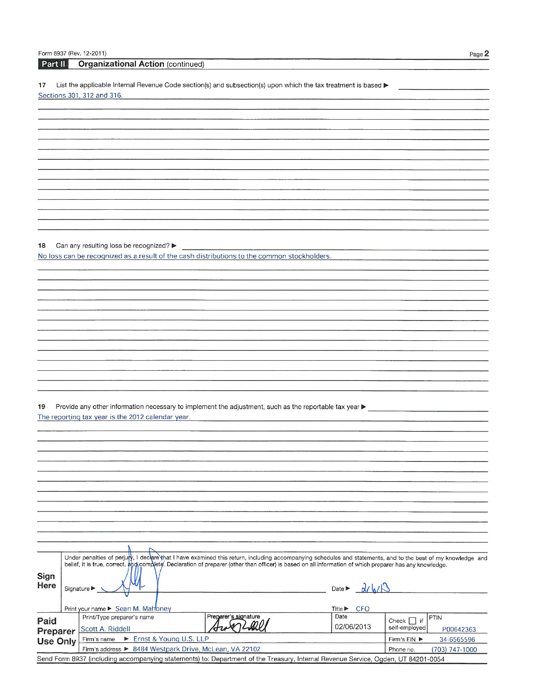# Part II Organizational Action (continued)

 $17$ List the applicable Internal Revenue Code section(s) and subsection(s) upon which the tax treatment is based  $\blacktriangleright$ Sections 301, 312 and 316.

Can any resulting loss be recognized? 18 No loss can be recognized as a result of the cash distributions to the common stockholders.

| Sign<br>Here    | Under penalties of perjury, I declare that I have examined this return, including accompanying schedules and statements, and to the best of my knowledge and<br>belief, it is true, correct, and complete. Declaration of preparer (other than officer) is based on all information of which preparer has any knowledge.<br>Signature $\blacktriangleright$ |                                                        |                            | 211/6<br>Date $\blacktriangleright$       |                            |  |  |
|-----------------|-------------------------------------------------------------------------------------------------------------------------------------------------------------------------------------------------------------------------------------------------------------------------------------------------------------------------------------------------------------|--------------------------------------------------------|----------------------------|-------------------------------------------|----------------------------|--|--|
|                 |                                                                                                                                                                                                                                                                                                                                                             | Print your name ► Sean M. Mahoney                      |                            | <b>CFO</b><br>Title $\blacktriangleright$ |                            |  |  |
| Paid            |                                                                                                                                                                                                                                                                                                                                                             | Print/Type preparer's name                             | Preparer's signature       | Date                                      | PTIN<br>$\top$ if<br>Check |  |  |
| Preparer        |                                                                                                                                                                                                                                                                                                                                                             | Scott A. Riddell                                       |                            | 02/06/2013                                | self-employed<br>P00642363 |  |  |
| <b>Use Only</b> |                                                                                                                                                                                                                                                                                                                                                             | Ernst & Young U.S. LLP<br>Firm's name                  | 34-6565596<br>Firm's EIN ▶ |                                           |                            |  |  |
|                 |                                                                                                                                                                                                                                                                                                                                                             | Firm's address ▶ 8484 Westpark Drive, McLean, VA 22102 |                            | (703) 747-1000<br>Phone no.               |                            |  |  |
|                 | Send Form 8937 (including accompanying statements) to: Department of the Treasury, Internal Revenue Service, Ogden, UT 84201-0054                                                                                                                                                                                                                           |                                                        |                            |                                           |                            |  |  |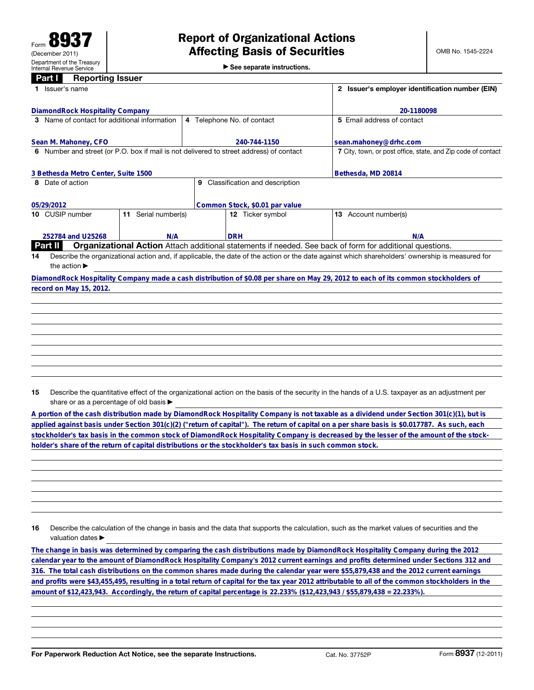| $\triangleright$ See separate instructions. |  |  |  |  |  |  |
|---------------------------------------------|--|--|--|--|--|--|
|---------------------------------------------|--|--|--|--|--|--|

| <b>Reporting Issuer</b><br>Part I I<br>Issuer's name                                    |                                                              | Issuer's employer identification number (EIN)<br>$\mathbf{2}$                                                                                   |
|-----------------------------------------------------------------------------------------|--------------------------------------------------------------|-------------------------------------------------------------------------------------------------------------------------------------------------|
|                                                                                         |                                                              |                                                                                                                                                 |
| DiamondRock Hospitality Company                                                         |                                                              | 20-1180098                                                                                                                                      |
| 3 Name of contact for additional information                                            | 4 Telephone No. of contact                                   | 5 Email address of contact                                                                                                                      |
| Sean M. Mahoney, CFO                                                                    | 240-744-1150                                                 | sean.mahoney@drhc.com                                                                                                                           |
| 6 Number and street (or P.O. box if mail is not delivered to street address) of contact | 7 City, town, or post office, state, and Zip code of contact |                                                                                                                                                 |
| 3 Bethesda Metro Center, Suite 1500                                                     | Bethesda, MD 20814                                           |                                                                                                                                                 |
| Date of action                                                                          | Classification and description<br>9                          |                                                                                                                                                 |
| 05/29/2012                                                                              | Common Stock, \$0.01 par value                               |                                                                                                                                                 |
| 10 CUSIP number<br>Serial number(s)<br>11                                               | 12 Ticker symbol                                             | <b>13</b> Account number(s)                                                                                                                     |
| 252784 and U25268<br>N/A                                                                | <b>DRH</b>                                                   | N/A                                                                                                                                             |
| Part II                                                                                 |                                                              | <b>Organizational Action</b> Attach additional statements if needed. See back of form for additional questions.                                 |
| 14                                                                                      |                                                              | Describe the organizational action and, if applicable, the date of the action or the date against which shareholders' ownership is measured for |
| the action $\blacktriangleright$                                                        |                                                              |                                                                                                                                                 |
|                                                                                         |                                                              | DiamondRock Hospitality Company made a cash distribution of \$0.08 per share on May 29, 2012 to each of its common stockholders of              |
| record on May 15, 2012.                                                                 |                                                              |                                                                                                                                                 |
|                                                                                         |                                                              |                                                                                                                                                 |

**A portion of the cash distribution made by DiamondRock Hospitality Company is not taxable as a dividend under Section 301(c)(1), but is applied against basis under Section 301(c)(2) ("return of capital"). The return of capital on a per share basis is \$0.017787. As such, each stockholder's tax basis in the common stock of DiamondRock Hospitality Company is decreased by the lesser of the amount of the stockholder's share of the return of capital distributions or the stockholder's tax basis in such common stock.**

**16** Describe the calculation of the change in basis and the data that supports the calculation, such as the market values of securities and the valuation dates  $\blacktriangleright$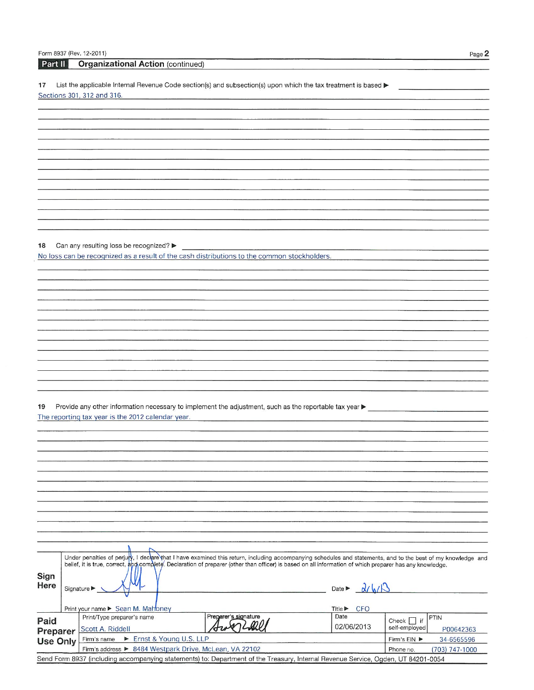# Part II Organizational Action (continued)

 $17$ List the applicable Internal Revenue Code section(s) and subsection(s) upon which the tax treatment is based  $\blacktriangleright$ Sections 301, 312 and 316.

Can any resulting loss be recognized? 18 No loss can be recognized as a result of the cash distributions to the common stockholders.

| Sign<br>Here    | Under penalties of perjury, I declare that I have examined this return, including accompanying schedules and statements, and to the best of my knowledge and<br>belief, it is true, correct, and complete. Declaration of preparer (other than officer) is based on all information of which preparer has any knowledge.<br>Signature $\blacktriangleright$ |                                                        |                            | 211/6<br>Date $\blacktriangleright$       |                            |  |  |
|-----------------|-------------------------------------------------------------------------------------------------------------------------------------------------------------------------------------------------------------------------------------------------------------------------------------------------------------------------------------------------------------|--------------------------------------------------------|----------------------------|-------------------------------------------|----------------------------|--|--|
|                 |                                                                                                                                                                                                                                                                                                                                                             | Print your name ► Sean M. Mahoney                      |                            | <b>CFO</b><br>Title $\blacktriangleright$ |                            |  |  |
| Paid            |                                                                                                                                                                                                                                                                                                                                                             | Print/Type preparer's name                             | Preparer's signature       | Date                                      | PTIN<br>$\top$ if<br>Check |  |  |
| Preparer        |                                                                                                                                                                                                                                                                                                                                                             | Scott A. Riddell                                       |                            | 02/06/2013                                | self-employed<br>P00642363 |  |  |
| <b>Use Only</b> |                                                                                                                                                                                                                                                                                                                                                             | Ernst & Young U.S. LLP<br>Firm's name                  | 34-6565596<br>Firm's EIN ▶ |                                           |                            |  |  |
|                 |                                                                                                                                                                                                                                                                                                                                                             | Firm's address ▶ 8484 Westpark Drive, McLean, VA 22102 |                            | (703) 747-1000<br>Phone no.               |                            |  |  |
|                 | Send Form 8937 (including accompanying statements) to: Department of the Treasury, Internal Revenue Service, Ogden, UT 84201-0054                                                                                                                                                                                                                           |                                                        |                            |                                           |                            |  |  |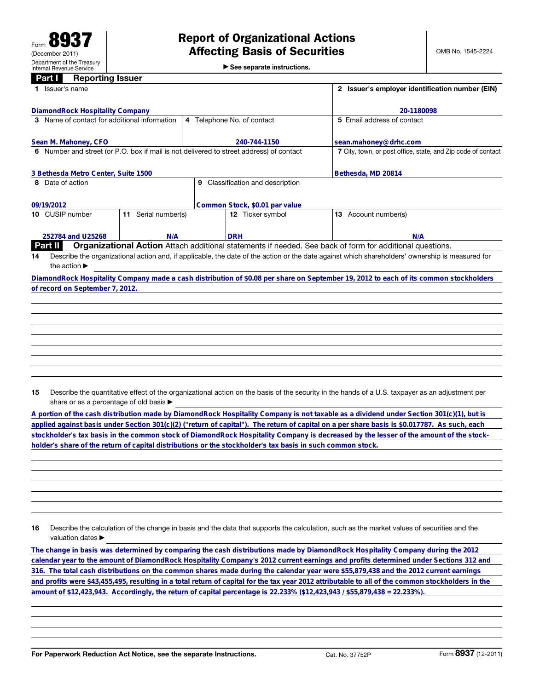| See separate instructions. |  |  |  |  |  |  |  |
|----------------------------|--|--|--|--|--|--|--|
|----------------------------|--|--|--|--|--|--|--|

| Issuer's name                                |                  |                                                                                         | $\overline{2}$<br>Issuer's employer identification number (EIN)                                                                                 |
|----------------------------------------------|------------------|-----------------------------------------------------------------------------------------|-------------------------------------------------------------------------------------------------------------------------------------------------|
| DiamondRock Hospitality Company              |                  |                                                                                         | 20-1180098                                                                                                                                      |
| 3 Name of contact for additional information |                  | 4 Telephone No. of contact                                                              | 5 Email address of contact                                                                                                                      |
| Sean M. Mahoney, CFO                         |                  | 240-744-1150                                                                            | sean.mahoney@drhc.com                                                                                                                           |
|                                              |                  | 6 Number and street (or P.O. box if mail is not delivered to street address) of contact | 7 City, town, or post office, state, and Zip code of contact                                                                                    |
| 3 Bethesda Metro Center, Suite 1500          |                  |                                                                                         | Bethesda, MD 20814                                                                                                                              |
| Date of action<br>8.                         |                  | Classification and description<br>9                                                     |                                                                                                                                                 |
| 09/19/2012                                   |                  | Common Stock, \$0.01 par value                                                          |                                                                                                                                                 |
| 10 CUSIP number<br>11.                       | Serial number(s) | 12 Ticker symbol                                                                        | Account number(s)<br>13                                                                                                                         |
| 252784 and U25268                            | N/A              | <b>DRH</b>                                                                              | N/A                                                                                                                                             |
| <b>Part II</b>                               |                  |                                                                                         | <b>Organizational Action</b> Attach additional statements if needed. See back of form for additional questions.                                 |
| 14                                           |                  |                                                                                         | Describe the organizational action and, if applicable, the date of the action or the date against which shareholders' ownership is measured for |
| the action $\blacktriangleright$             |                  |                                                                                         |                                                                                                                                                 |
|                                              |                  |                                                                                         | DiamondRock Hospitality Company made a cash distribution of \$0.08 per share on September 19, 2012 to each of its common stockholders           |
| of record on September 7, 2012.              |                  |                                                                                         |                                                                                                                                                 |
|                                              |                  |                                                                                         |                                                                                                                                                 |
|                                              |                  |                                                                                         |                                                                                                                                                 |

**A portion of the cash distribution made by DiamondRock Hospitality Company is not taxable as a dividend under Section 301(c)(1), but is applied against basis under Section 301(c)(2) ("return of capital"). The return of capital on a per share basis is \$0.017787. As such, each stockholder's tax basis in the common stock of DiamondRock Hospitality Company is decreased by the lesser of the amount of the stockholder's share of the return of capital distributions or the stockholder's tax basis in such common stock.**

**16** Describe the calculation of the change in basis and the data that supports the calculation, such as the market values of securities and the valuation dates  $\blacktriangleright$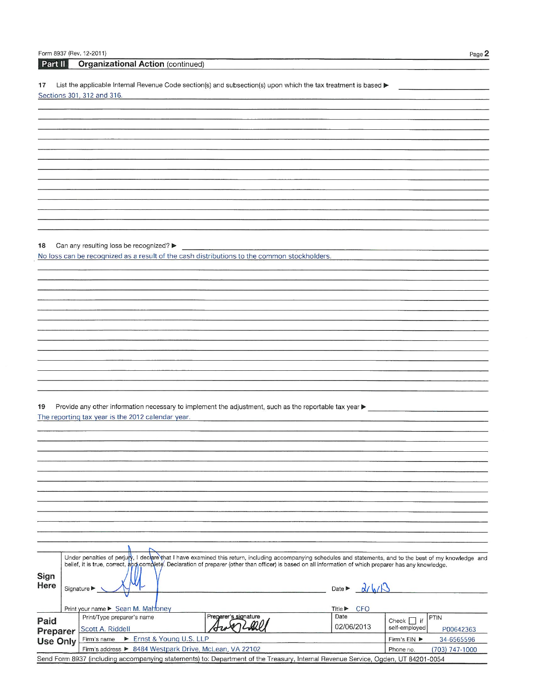# Part II Organizational Action (continued)

 $17$ List the applicable Internal Revenue Code section(s) and subsection(s) upon which the tax treatment is based  $\blacktriangleright$ Sections 301, 312 and 316.

Can any resulting loss be recognized? 18 No loss can be recognized as a result of the cash distributions to the common stockholders.

| Sign<br>Here    | Under penalties of perjury, I declare that I have examined this return, including accompanying schedules and statements, and to the best of my knowledge and<br>belief, it is true, correct, and complete. Declaration of preparer (other than officer) is based on all information of which preparer has any knowledge.<br>Signature $\blacktriangleright$ |                                                        |                            | 211/6<br>Date $\blacktriangleright$       |                            |  |  |
|-----------------|-------------------------------------------------------------------------------------------------------------------------------------------------------------------------------------------------------------------------------------------------------------------------------------------------------------------------------------------------------------|--------------------------------------------------------|----------------------------|-------------------------------------------|----------------------------|--|--|
|                 |                                                                                                                                                                                                                                                                                                                                                             | Print your name ► Sean M. Mahoney                      |                            | <b>CFO</b><br>Title $\blacktriangleright$ |                            |  |  |
| Paid            |                                                                                                                                                                                                                                                                                                                                                             | Print/Type preparer's name                             | Preparer's signature       | Date                                      | PTIN<br>$\top$ if<br>Check |  |  |
| Preparer        |                                                                                                                                                                                                                                                                                                                                                             | Scott A. Riddell                                       |                            | 02/06/2013                                | self-employed<br>P00642363 |  |  |
| <b>Use Only</b> |                                                                                                                                                                                                                                                                                                                                                             | Ernst & Young U.S. LLP<br>Firm's name                  | 34-6565596<br>Firm's EIN ▶ |                                           |                            |  |  |
|                 |                                                                                                                                                                                                                                                                                                                                                             | Firm's address ▶ 8484 Westpark Drive, McLean, VA 22102 |                            | (703) 747-1000<br>Phone no.               |                            |  |  |
|                 | Send Form 8937 (including accompanying statements) to: Department of the Treasury, Internal Revenue Service, Ogden, UT 84201-0054                                                                                                                                                                                                                           |                                                        |                            |                                           |                            |  |  |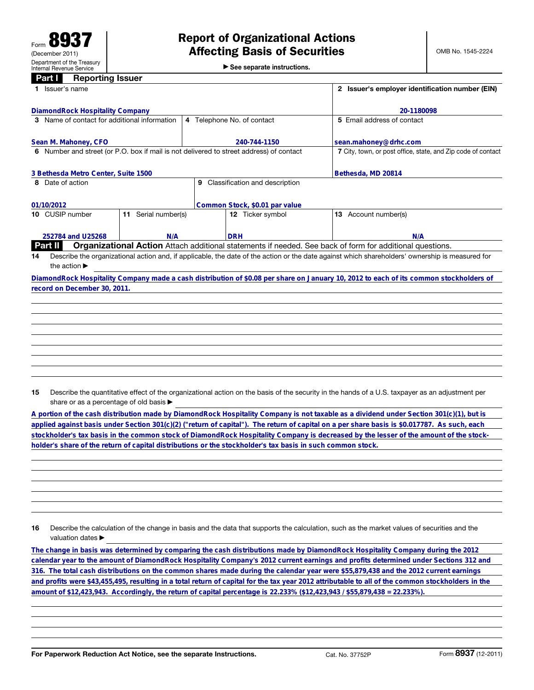| See separate instructions. |  |
|----------------------------|--|
|----------------------------|--|

| Issuer's name                                                                           | Issuer's employer identification number (EIN)<br>$\overline{2}$ |                                                                                                                                                 |
|-----------------------------------------------------------------------------------------|-----------------------------------------------------------------|-------------------------------------------------------------------------------------------------------------------------------------------------|
| DiamondRock Hospitality Company                                                         |                                                                 | 20-1180098                                                                                                                                      |
| 3 Name of contact for additional information                                            | 4 Telephone No. of contact                                      | 5 Email address of contact                                                                                                                      |
| Sean M. Mahoney, CFO                                                                    | 240-744-1150                                                    | sean.mahoney@drhc.com                                                                                                                           |
| 6 Number and street (or P.O. box if mail is not delivered to street address) of contact |                                                                 | 7 City, town, or post office, state, and Zip code of contact                                                                                    |
| 3 Bethesda Metro Center, Suite 1500                                                     |                                                                 | Bethesda, MD 20814                                                                                                                              |
| Date of action<br>8                                                                     | Classification and description<br>9                             |                                                                                                                                                 |
| 01/10/2012                                                                              | Common Stock, \$0.01 par value                                  |                                                                                                                                                 |
| Serial number(s)<br>10 CUSIP number<br>11                                               | 12 Ticker symbol                                                | Account number(s)<br>13                                                                                                                         |
| 252784 and U25268<br>N/A                                                                | <b>DRH</b>                                                      | N/A                                                                                                                                             |
| <b>Part II</b>                                                                          |                                                                 | <b>Organizational Action</b> Attach additional statements if needed. See back of form for additional questions.                                 |
| 14                                                                                      |                                                                 | Describe the organizational action and, if applicable, the date of the action or the date against which shareholders' ownership is measured for |
|                                                                                         |                                                                 |                                                                                                                                                 |
| the action $\blacktriangleright$                                                        |                                                                 |                                                                                                                                                 |
|                                                                                         |                                                                 | DiamondRock Hospitality Company made a cash distribution of \$0.08 per share on January 10, 2012 to each of its common stockholders of          |
| record on December 30, 2011.                                                            |                                                                 |                                                                                                                                                 |

**A portion of the cash distribution made by DiamondRock Hospitality Company is not taxable as a dividend under Section 301(c)(1), but is applied against basis under Section 301(c)(2) ("return of capital"). The return of capital on a per share basis is \$0.017787. As such, each stockholder's tax basis in the common stock of DiamondRock Hospitality Company is decreased by the lesser of the amount of the stockholder's share of the return of capital distributions or the stockholder's tax basis in such common stock.**

**16** Describe the calculation of the change in basis and the data that supports the calculation, such as the market values of securities and the valuation dates  $\blacktriangleright$